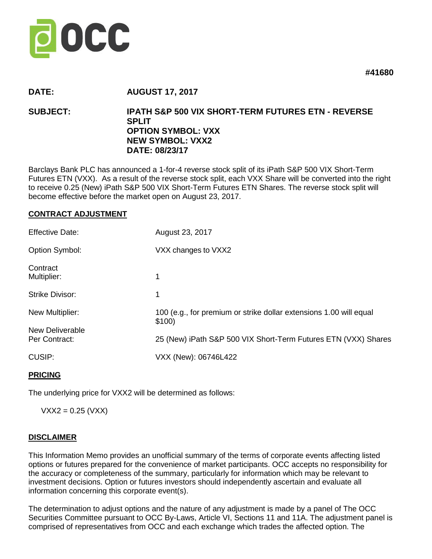

**#41680**

# **DATE: AUGUST 17, 2017**

# **SUBJECT: IPATH S&P 500 VIX SHORT-TERM FUTURES ETN - REVERSE SPLIT OPTION SYMBOL: VXX NEW SYMBOL: VXX2 DATE: 08/23/17**

Barclays Bank PLC has announced a 1-for-4 reverse stock split of its iPath S&P 500 VIX Short-Term Futures ETN (VXX). As a result of the reverse stock split, each VXX Share will be converted into the right to receive 0.25 (New) iPath S&P 500 VIX Short-Term Futures ETN Shares. The reverse stock split will become effective before the market open on August 23, 2017.

#### **CONTRACT ADJUSTMENT**

| <b>Effective Date:</b>           | August 23, 2017                                                              |
|----------------------------------|------------------------------------------------------------------------------|
| Option Symbol:                   | VXX changes to VXX2                                                          |
| Contract<br>Multiplier:          | 1                                                                            |
| <b>Strike Divisor:</b>           | 1                                                                            |
| New Multiplier:                  | 100 (e.g., for premium or strike dollar extensions 1.00 will equal<br>\$100) |
| New Deliverable<br>Per Contract: | 25 (New) iPath S&P 500 VIX Short-Term Futures ETN (VXX) Shares               |
| <b>CUSIP:</b>                    | VXX (New): 06746L422                                                         |

## **PRICING**

The underlying price for VXX2 will be determined as follows:

 $VXX2 = 0.25$  (VXX)

## **DISCLAIMER**

This Information Memo provides an unofficial summary of the terms of corporate events affecting listed options or futures prepared for the convenience of market participants. OCC accepts no responsibility for the accuracy or completeness of the summary, particularly for information which may be relevant to investment decisions. Option or futures investors should independently ascertain and evaluate all information concerning this corporate event(s).

The determination to adjust options and the nature of any adjustment is made by a panel of The OCC Securities Committee pursuant to OCC By-Laws, Article VI, Sections 11 and 11A. The adjustment panel is comprised of representatives from OCC and each exchange which trades the affected option. The